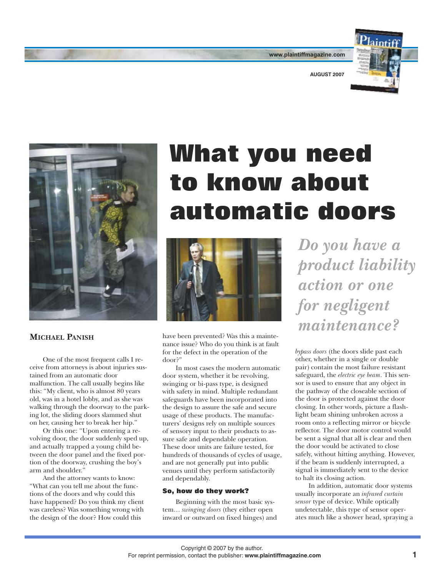

**AUGUST 2007** 

**www.plaintiffmagazine.com**



## **MICHAEL PANISH**

One of the most frequent calls I receive from attorneys is about injuries sustained from an automatic door malfunction. The call usually begins like this: "My client, who is almost 80 years old, was in a hotel lobby, and as she was walking through the doorway to the parking lot, the sliding doors slammed shut on her, causing her to break her hip."

Or this one: "Upon entering a revolving door, the door suddenly sped up, and actually trapped a young child between the door panel and the fixed portion of the doorway, crushing the boy's arm and shoulder."

And the attorney wants to know: "What can you tell me about the functions of the doors and why could this have happened? Do you think my client was careless? Was something wrong with the design of the door? How could this

## **What you need to know about automatic doors**



have been prevented? Was this a maintenance issue? Who do you think is at fault for the defect in the operation of the door?"

In most cases the modern automatic door system, whether it be revolving, swinging or bi-pass type, is designed with safety in mind. Multiple redundant safeguards have been incorporated into the design to assure the safe and secure usage of these products. The manufacturers' designs rely on multiple sources of sensory input to their products to assure safe and dependable operation. These door units are failure tested, for hundreds of thousands of cycles of usage, and are not generally put into public venues until they perform satisfactorily and dependably.

## **So, how do they work?**

Beginning with the most basic system… *swinging doors* (they either open inward or outward on fixed hinges) and

*Do you have a product liability action or one for negligent maintenance?* 

*bypass doors* (the doors slide past each other, whether in a single or double pair) contain the most failure resistant safeguard, the *electric eye beam*. This sensor is used to ensure that any object in the pathway of the closeable section of the door is protected against the door closing. In other words, picture a flashlight beam shining unbroken across a room onto a reflecting mirror or bicycle reflector. The door motor control would be sent a signal that all is clear and then the door would be activated to close safely, without hitting anything. However, if the beam is suddenly interrupted, a signal is immediately sent to the device to halt its closing action.

In addition, automatic door systems usually incorporate an *infrared curtain sensor* type of device. While optically undetectable, this type of sensor operates much like a shower head, spraying a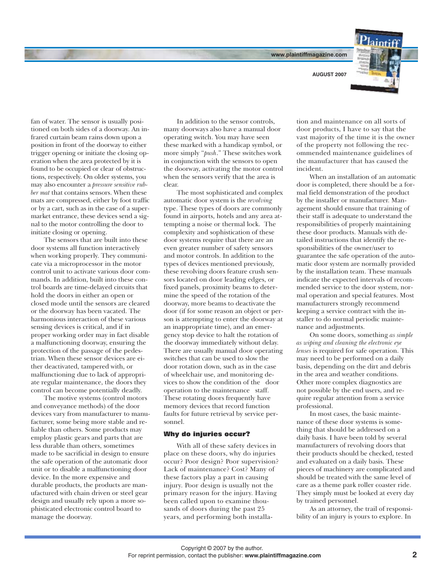**[www.plaintiffmagazine.com](http://www.plaintiffmagazine.com)**

**AUGUST 2007** 



fan of water. The sensor is usually positioned on both sides of a doorway. An infrared curtain beam rains down upon a position in front of the doorway to either trigger opening or initiate the closing operation when the area protected by it is found to be occupied or clear of obstructions, respectively. On older systems, you may also encounter a *pressure sensitive rubber mat* that contains sensors. When these mats are compressed, either by foot traffic or by a cart, such as in the case of a supermarket entrance, these devices send a signal to the motor controlling the door to initiate closing or opening.

The sensors that are built into these door systems all function interactively when working properly. They communicate via a microprocessor in the motor control unit to activate various door commands. In addition, built into these control boards are time-delayed circuits that hold the doors in either an open or closed mode until the sensors are cleared or the doorway has been vacated. The harmonious interaction of these various sensing devices is critical, and if in proper working order may in fact disable a malfunctioning doorway, ensuring the protection of the passage of the pedestrian. When these sensor devices are either deactivated, tampered with, or malfunctioning due to lack of appropriate regular maintenance, the doors they control can become potentially deadly.

The motive systems (control motors and conveyance methods) of the door devices vary from manufacturer to manufacturer, some being more stable and reliable than others. Some products may employ plastic gears and parts that are less durable than others, sometimes made to be sacrificial in design to ensure the safe operation of the automatic door unit or to disable a malfunctioning door device. In the more expensive and durable products, the products are manufactured with chain driven or steel gear design and usually rely upon a more sophisticated electronic control board to manage the doorway.

In addition to the sensor controls, many doorways also have a manual door operating switch. You may have seen these marked with a handicap symbol, or more simply "*push*." These switches work in conjunction with the sensors to open the doorway, activating the motor control when the sensors verify that the area is clear.

The most sophisticated and complex automatic door system is the *revolving*  type. These types of doors are commonly found in airports, hotels and any area attempting a noise or thermal lock. The complexity and sophistication of these door systems require that there are an even greater number of safety sensors and motor controls. In addition to the types of devices mentioned previously, these revolving doors feature crush sensors located on door leading edges, or fixed panels, proximity beams to determine the speed of the rotation of the doorway, more beams to deactivate the door (if for some reason an object or person is attempting to enter the doorway at an inappropriate time), and an emergency stop device to halt the rotation of the doorway immediately without delay. There are usually manual door operating switches that can be used to slow the door rotation down, such as in the case of wheelchair use, and monitoring devices to show the condition of the door operation to the maintenance staff. These rotating doors frequently have memory devices that record function faults for future retrieval by service personnel.

## **Why do injuries occur?**

With all of these safety devices in place on these doors, why do injuries occur? Poor design? Poor supervision? Lack of maintenance? Cost? Many of these factors play a part in causing injury. Poor design is usually not the primary reason for the injury. Having been called upon to examine thousands of doors during the past 25 years, and performing both installa-

tion and maintenance on all sorts of door products, I have to say that the vast majority of the time it is the owner of the property not following the recommended maintenance guidelines of the manufacturer that has caused the incident.

When an installation of an automatic door is completed, there should be a formal field demonstration of the product by the installer or manufacturer. Management should ensure that training of their staff is adequate to understand the responsibilities of properly maintaining these door products. Manuals with detailed instructions that identify the responsibilities of the owner/user to guarantee the safe operation of the automatic door system are normally provided by the installation team. These manuals indicate the expected intervals of recommended service to the door system, normal operation and special features. Most manufacturers strongly recommend keeping a service contract with the installer to do normal periodic maintenance and adjustments.

On some doors, something *as simple as wiping and cleaning the electronic eye lenses* is required for safe operation. This may need to be performed on a daily basis, depending on the dirt and debris in the area and weather conditions. Other more complex diagnostics are not possible by the end users, and require regular attention from a service professional.

In most cases, the basic maintenance of these door systems is something that should be addressed on a daily basis. I have been told by several manufacturers of revolving doors that their products should be checked, tested and evaluated on a daily basis. These pieces of machinery are complicated and should be treated with the same level of care as a theme park roller coaster ride. They simply must be looked at every day by trained personnel.

As an attorney, the trail of responsibility of an injury is yours to explore. In